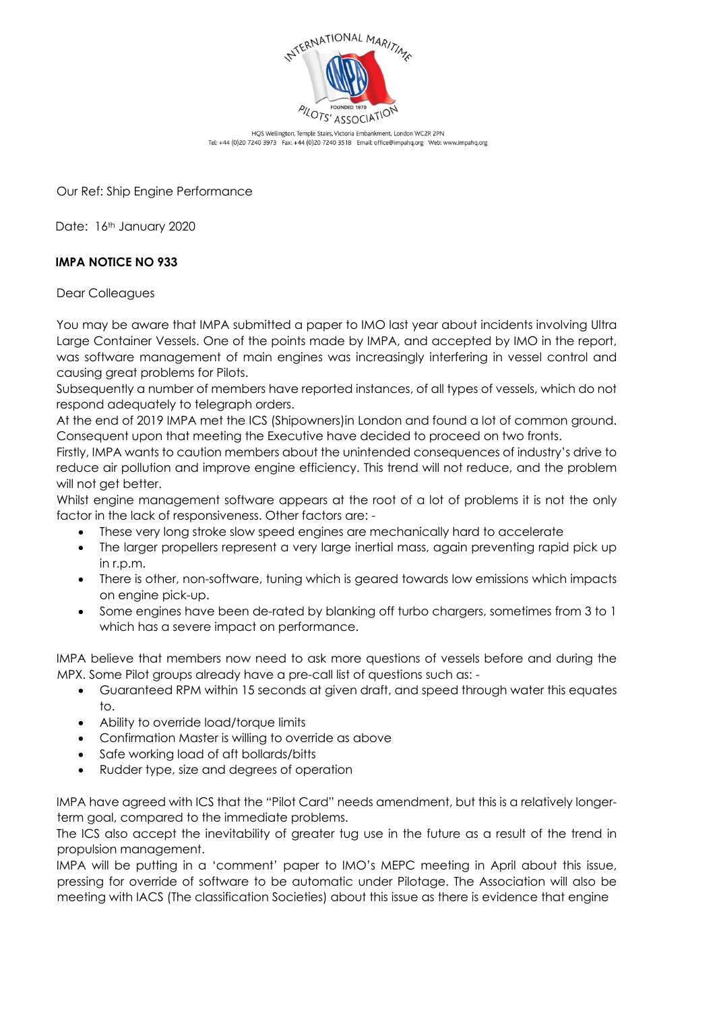

HQS Wellington, Temple Stairs, Victoria Embankment, London WC2R 2PN Tel: +44 (0)20 7240 3973 Fax: +44 (0)20 7240 3518 Email: office@impahq.org Web: www.impahq.org

Our Ref: Ship Engine Performance

Date: 16th January 2020

## **IMPA NOTICE NO 933**

Dear Colleagues

You may be aware that IMPA submitted a paper to IMO last year about incidents involving Ultra Large Container Vessels. One of the points made by IMPA, and accepted by IMO in the report, was software management of main engines was increasingly interfering in vessel control and causing great problems for Pilots.

Subsequently a number of members have reported instances, of all types of vessels, which do not respond adequately to telegraph orders.

At the end of 2019 IMPA met the ICS (Shipowners)in London and found a lot of common ground. Consequent upon that meeting the Executive have decided to proceed on two fronts.

Firstly, IMPA wants to caution members about the unintended consequences of industry's drive to reduce air pollution and improve engine efficiency. This trend will not reduce, and the problem will not get better.

Whilst engine management software appears at the root of a lot of problems it is not the only factor in the lack of responsiveness. Other factors are: -

- These very long stroke slow speed engines are mechanically hard to accelerate
- The larger propellers represent a very large inertial mass, again preventing rapid pick up in r.p.m.
- There is other, non-software, tuning which is geared towards low emissions which impacts on engine pick-up.
- Some engines have been de-rated by blanking off turbo chargers, sometimes from 3 to 1 which has a severe impact on performance.

IMPA believe that members now need to ask more questions of vessels before and during the MPX. Some Pilot groups already have a pre-call list of questions such as: -

- Guaranteed RPM within 15 seconds at given draft, and speed through water this equates to.
- Ability to override load/torque limits
- Confirmation Master is willing to override as above
- Safe working load of aft bollards/bitts
- Rudder type, size and degrees of operation

IMPA have agreed with ICS that the "Pilot Card" needs amendment, but this is a relatively longerterm goal, compared to the immediate problems.

The ICS also accept the inevitability of greater tug use in the future as a result of the trend in propulsion management.

IMPA will be putting in a 'comment' paper to IMO's MEPC meeting in April about this issue, pressing for override of software to be automatic under Pilotage. The Association will also be meeting with IACS (The classification Societies) about this issue as there is evidence that engine